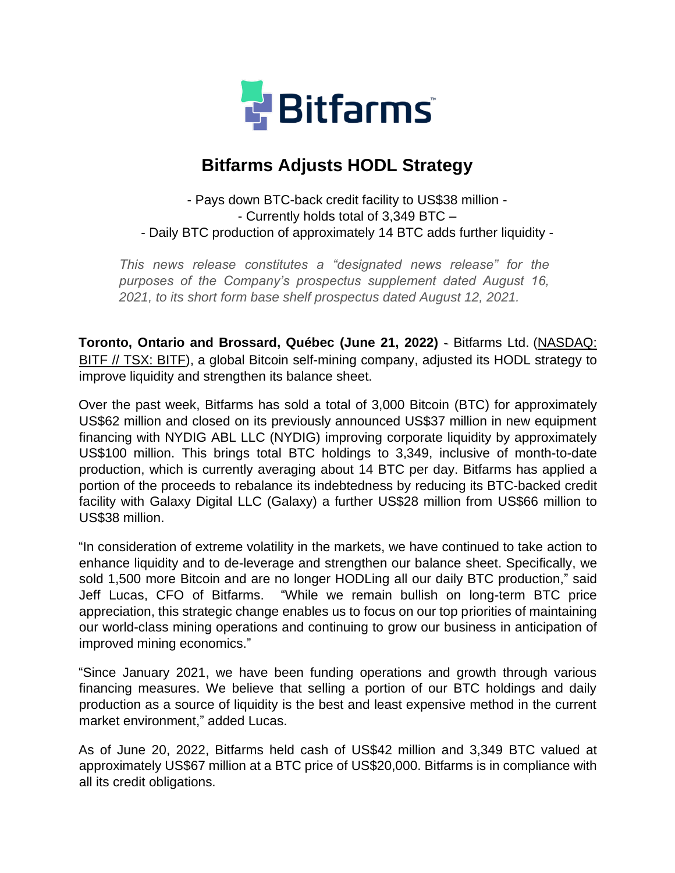

# **Bitfarms Adjusts HODL Strategy**

- Pays down BTC-back credit facility to US\$38 million - - Currently holds total of 3,349 BTC – - Daily BTC production of approximately 14 BTC adds further liquidity -

*This news release constitutes a "designated news release" for the purposes of the Company's prospectus supplement dated August 16, 2021, to its short form base shelf prospectus dated August 12, 2021.*

**Toronto, Ontario and Brossard, Québec (June 21, 2022)** - [Bitfarms Ltd.](https://cts.businesswire.com/ct/CT?id=smartlink&url=https%3A%2F%2Fbitfarms.com%2F&esheet=52352512&newsitemid=20201222005172&lan=en-US&anchor=Bitfarms+Ltd.&index=1&md5=4e2b5a37e06e1e60e5ebf2e5b16a4b57) (NASDAQ: BITF // TSX: BITF), a global Bitcoin self-mining company, adjusted its HODL strategy to improve liquidity and strengthen its balance sheet.

Over the past week, Bitfarms has sold a total of 3,000 Bitcoin (BTC) for approximately US\$62 million and closed on its previously announced US\$37 million in new equipment financing with NYDIG ABL LLC (NYDIG) improving corporate liquidity by approximately US\$100 million. This brings total BTC holdings to 3,349, inclusive of month-to-date production, which is currently averaging about 14 BTC per day. Bitfarms has applied a portion of the proceeds to rebalance its indebtedness by reducing its BTC-backed credit facility with Galaxy Digital LLC (Galaxy) a further US\$28 million from US\$66 million to US\$38 million.

"In consideration of extreme volatility in the markets, we have continued to take action to enhance liquidity and to de-leverage and strengthen our balance sheet. Specifically, we sold 1,500 more Bitcoin and are no longer HODLing all our daily BTC production," said Jeff Lucas, CFO of Bitfarms. "While we remain bullish on long-term BTC price appreciation, this strategic change enables us to focus on our top priorities of maintaining our world-class mining operations and continuing to grow our business in anticipation of improved mining economics."

"Since January 2021, we have been funding operations and growth through various financing measures. We believe that selling a portion of our BTC holdings and daily production as a source of liquidity is the best and least expensive method in the current market environment," added Lucas.

As of June 20, 2022, Bitfarms held cash of US\$42 million and 3,349 BTC valued at approximately US\$67 million at a BTC price of US\$20,000. Bitfarms is in compliance with all its credit obligations.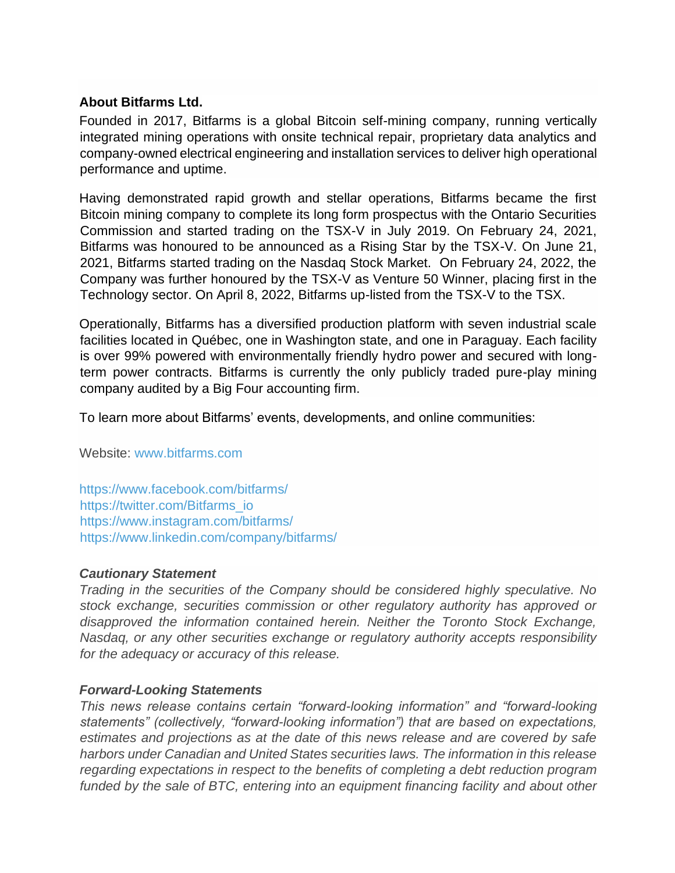### **About Bitfarms Ltd.**

Founded in 2017, Bitfarms is a global Bitcoin self-mining company, running vertically integrated mining operations with onsite technical repair, proprietary data analytics and company-owned electrical engineering and installation services to deliver high operational performance and uptime.

Having demonstrated rapid growth and stellar operations, Bitfarms became the first Bitcoin mining company to complete its long form prospectus with the Ontario Securities Commission and started trading on the TSX-V in July 2019. On February 24, 2021, Bitfarms was honoured to be announced as a Rising Star by the TSX-V. On June 21, 2021, Bitfarms started trading on the Nasdaq Stock Market. On February 24, 2022, the Company was further honoured by the TSX-V as Venture 50 Winner, placing first in the Technology sector. On April 8, 2022, Bitfarms up-listed from the TSX-V to the TSX.

Operationally, Bitfarms has a diversified production platform with seven industrial scale facilities located in Québec, one in Washington state, and one in Paraguay. Each facility is over 99% powered with environmentally friendly hydro power and secured with longterm power contracts. Bitfarms is currently the only publicly traded pure-play mining company audited by a Big Four accounting firm.

To learn more about Bitfarms' events, developments, and online communities:

Website: [www.bitfarms.com](https://cts.businesswire.com/ct/CT?id=smartlink&url=http%3A%2F%2Fwww.bitfarms.com&esheet=52352512&newsitemid=20201222005172&lan=en-US&anchor=www.bitfarms.com&index=2&md5=8a9d4e770ff4a5696a36ad864bb10f7e)

[https://www.facebook.com/bitfarms/](https://cts.businesswire.com/ct/CT?id=smartlink&url=https%3A%2F%2Fwww.facebook.com%2Fbitfarms%2F&esheet=52352512&newsitemid=20201222005172&lan=en-US&anchor=https%3A%2F%2Fwww.facebook.com%2Fbitfarms%2F&index=3&md5=b6e44e25b52add15c33e867ef844a87f) [https://twitter.com/Bitfarms\\_io](https://cts.businesswire.com/ct/CT?id=smartlink&url=https%3A%2F%2Ftwitter.com%2FBitfarms_io&esheet=52352512&newsitemid=20201222005172&lan=en-US&anchor=https%3A%2F%2Ftwitter.com%2FBitfarms_io&index=4&md5=ea5504adaee0d8d42bb82da141578a4c) [https://www.instagram.com/bitfarms/](https://cts.businesswire.com/ct/CT?id=smartlink&url=https%3A%2F%2Fwww.instagram.com%2Fbitfarms%2F&esheet=52352512&newsitemid=20201222005172&lan=en-US&anchor=https%3A%2F%2Fwww.instagram.com%2Fbitfarms%2F&index=5&md5=c23e35264dd3b32f731404db5d27ba13) [https://www.linkedin.com/company/bitfarms/](https://cts.businesswire.com/ct/CT?id=smartlink&url=https%3A%2F%2Fwww.linkedin.com%2Fcompany%2Fbitfarms%2F&esheet=52352512&newsitemid=20201222005172&lan=en-US&anchor=https%3A%2F%2Fwww.linkedin.com%2Fcompany%2Fbitfarms%2F&index=6&md5=b1358cccd49bdc78b84622ab953c638b)

#### *Cautionary Statement*

*Trading in the securities of the Company should be considered highly speculative. No stock exchange, securities commission or other regulatory authority has approved or disapproved the information contained herein. Neither the Toronto Stock Exchange, Nasdaq, or any other securities exchange or regulatory authority accepts responsibility for the adequacy or accuracy of this release.*

#### *Forward-Looking Statements*

*This news release contains certain "forward-looking information" and "forward-looking statements" (collectively, "forward-looking information") that are based on expectations, estimates and projections as at the date of this news release and are covered by safe harbors under Canadian and United States securities laws. The information in this release regarding expectations in respect to the benefits of completing a debt reduction program funded by the sale of BTC, entering into an equipment financing facility and about other*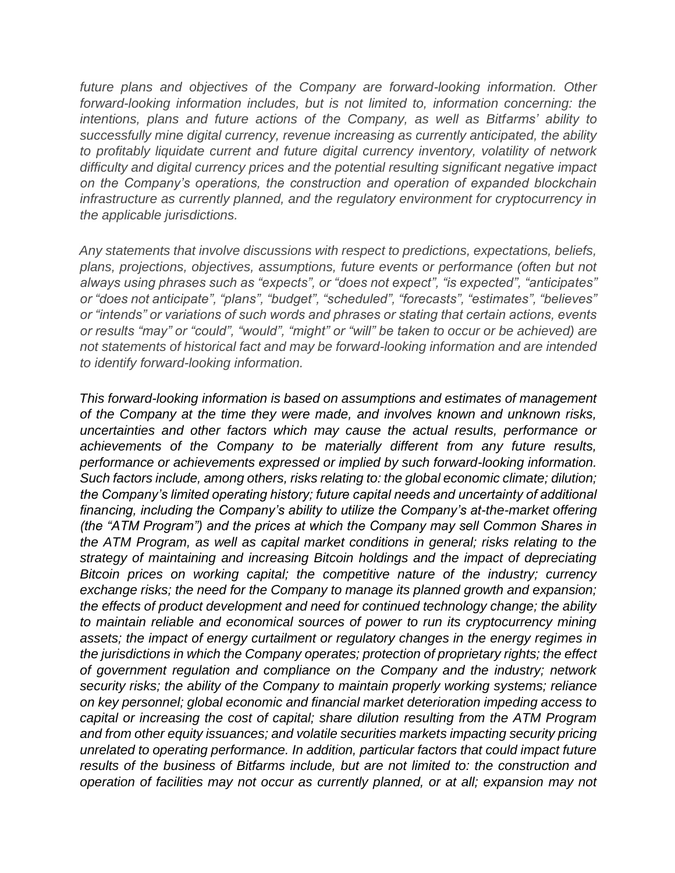future plans and objectives of the Company are forward-looking information. Other *forward-looking information includes, but is not limited to, information concerning: the intentions, plans and future actions of the Company, as well as Bitfarms' ability to successfully mine digital currency, revenue increasing as currently anticipated, the ability to profitably liquidate current and future digital currency inventory, volatility of network difficulty and digital currency prices and the potential resulting significant negative impact on the Company's operations, the construction and operation of expanded blockchain infrastructure as currently planned, and the regulatory environment for cryptocurrency in the applicable jurisdictions.*

*Any statements that involve discussions with respect to predictions, expectations, beliefs, plans, projections, objectives, assumptions, future events or performance (often but not always using phrases such as "expects", or "does not expect", "is expected", "anticipates" or "does not anticipate", "plans", "budget", "scheduled", "forecasts", "estimates", "believes" or "intends" or variations of such words and phrases or stating that certain actions, events or results "may" or "could", "would", "might" or "will" be taken to occur or be achieved) are not statements of historical fact and may be forward-looking information and are intended to identify forward-looking information.*

*This forward-looking information is based on assumptions and estimates of management of the Company at the time they were made, and involves known and unknown risks, uncertainties and other factors which may cause the actual results, performance or achievements of the Company to be materially different from any future results, performance or achievements expressed or implied by such forward-looking information. Such factors include, among others, risks relating to: the global economic climate; dilution; the Company's limited operating history; future capital needs and uncertainty of additional financing, including the Company's ability to utilize the Company's at-the-market offering (the "ATM Program") and the prices at which the Company may sell Common Shares in the ATM Program, as well as capital market conditions in general; risks relating to the strategy of maintaining and increasing Bitcoin holdings and the impact of depreciating Bitcoin prices on working capital; the competitive nature of the industry; currency exchange risks; the need for the Company to manage its planned growth and expansion; the effects of product development and need for continued technology change; the ability to maintain reliable and economical sources of power to run its cryptocurrency mining assets; the impact of energy curtailment or regulatory changes in the energy regimes in the jurisdictions in which the Company operates; protection of proprietary rights; the effect of government regulation and compliance on the Company and the industry; network security risks; the ability of the Company to maintain properly working systems; reliance on key personnel; global economic and financial market deterioration impeding access to capital or increasing the cost of capital; share dilution resulting from the ATM Program and from other equity issuances; and volatile securities markets impacting security pricing unrelated to operating performance. In addition, particular factors that could impact future results of the business of Bitfarms include, but are not limited to: the construction and operation of facilities may not occur as currently planned, or at all; expansion may not*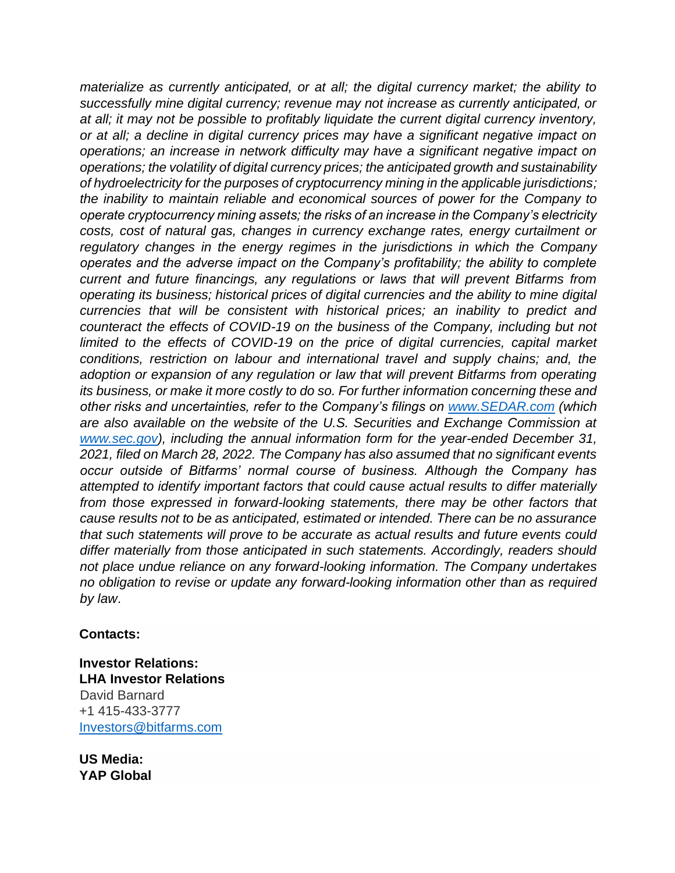*materialize as currently anticipated, or at all; the digital currency market; the ability to successfully mine digital currency; revenue may not increase as currently anticipated, or at all; it may not be possible to profitably liquidate the current digital currency inventory, or at all; a decline in digital currency prices may have a significant negative impact on operations; an increase in network difficulty may have a significant negative impact on operations; the volatility of digital currency prices; the anticipated growth and sustainability of hydroelectricity for the purposes of cryptocurrency mining in the applicable jurisdictions; the inability to maintain reliable and economical sources of power for the Company to operate cryptocurrency mining assets; the risks of an increase in the Company's electricity costs, cost of natural gas, changes in currency exchange rates, energy curtailment or regulatory changes in the energy regimes in the jurisdictions in which the Company operates and the adverse impact on the Company's profitability; the ability to complete current and future financings, any regulations or laws that will prevent Bitfarms from operating its business; historical prices of digital currencies and the ability to mine digital currencies that will be consistent with historical prices; an inability to predict and*  counteract the effects of COVID-19 on the business of the Company, including but not limited to the effects of COVID-19 on the price of digital currencies, capital market *conditions, restriction on labour and international travel and supply chains; and, the*  adoption or expansion of any regulation or law that will prevent Bitfarms from operating *its business, or make it more costly to do so. For further information concerning these and other risks and uncertainties, refer to the Company's filings on [www.SEDAR.com](http://www.sedar.com/) (which are also available on the website of the U.S. Securities and Exchange Commission at [www.sec.gov\)](http://www.sec.gov/), including the annual information form for the year-ended December 31, 2021, filed on March 28, 2022. The Company has also assumed that no significant events occur outside of Bitfarms' normal course of business. Although the Company has attempted to identify important factors that could cause actual results to differ materially from those expressed in forward-looking statements, there may be other factors that cause results not to be as anticipated, estimated or intended. There can be no assurance that such statements will prove to be accurate as actual results and future events could differ materially from those anticipated in such statements. Accordingly, readers should not place undue reliance on any forward-looking information. The Company undertakes no obligation to revise or update any forward-looking information other than as required by law.*

#### **Contacts:**

**Investor Relations: LHA Investor Relations** David Barnard +1 415-433-3777 [Investors@bitfarms.com](mailto:Investors@bitfarms.com)

**US Media: YAP Global**